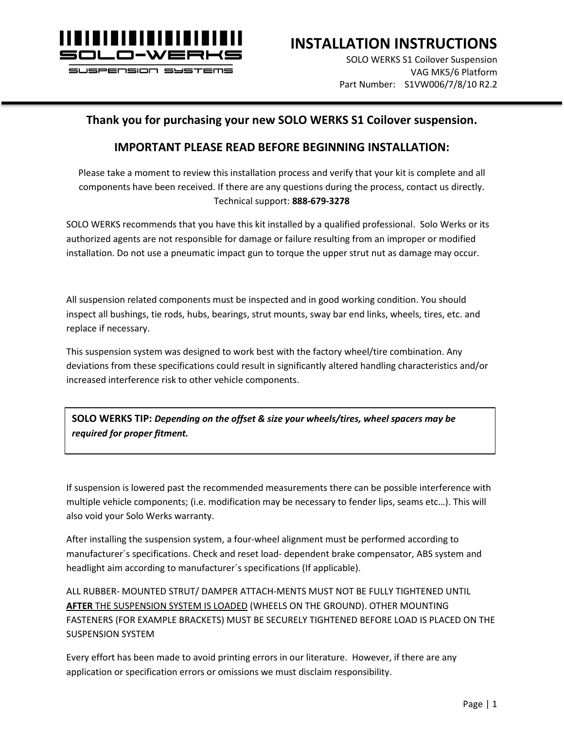

**INSTALLATION INSTRUCTIONS**

SOLO WERKS S1 Coilover Suspension VAG MK5/6 Platform Part Number: S1VW006/7/8/10 R2.2

#### **Thank you for purchasing your new SOLO WERKS S1 Coilover suspension.**

#### **IMPORTANT PLEASE READ BEFORE BEGINNING INSTALLATION:**

Please take a moment to review this installation process and verify that your kit is complete and all components have been received. If there are any questions during the process, contact us directly. Technical support: **888-679-3278**

SOLO WERKS recommends that you have this kit installed by a qualified professional. Solo Werks or its authorized agents are not responsible for damage or failure resulting from an improper or modified installation. Do not use a pneumatic impact gun to torque the upper strut nut as damage may occur.

All suspension related components must be inspected and in good working condition. You should inspect all bushings, tie rods, hubs, bearings, strut mounts, sway bar end links, wheels, tires, etc. and replace if necessary.

This suspension system was designed to work best with the factory wheel/tire combination. Any deviations from these specifications could result in significantly altered handling characteristics and/or increased interference risk to other vehicle components.

**SOLO WERKS TIP:** *Depending on the offset & size your wheels/tires, wheel spacers may be required for proper fitment.*

If suspension is lowered past the recommended measurements there can be possible interference with multiple vehicle components; (i.e. modification may be necessary to fender lips, seams etc…). This will also void your Solo Werks warranty.

After installing the suspension system, a four-wheel alignment must be performed according to manufacturer´s specifications. Check and reset load- dependent brake compensator, ABS system and headlight aim according to manufacturer´s specifications (If applicable).

ALL RUBBER- MOUNTED STRUT/ DAMPER ATTACH-MENTS MUST NOT BE FULLY TIGHTENED UNTIL **AFTER** THE SUSPENSION SYSTEM IS LOADED (WHEELS ON THE GROUND). OTHER MOUNTING FASTENERS (FOR EXAMPLE BRACKETS) MUST BE SECURELY TIGHTENED BEFORE LOAD IS PLACED ON THE SUSPENSION SYSTEM

Every effort has been made to avoid printing errors in our literature. However, if there are any application or specification errors or omissions we must disclaim responsibility.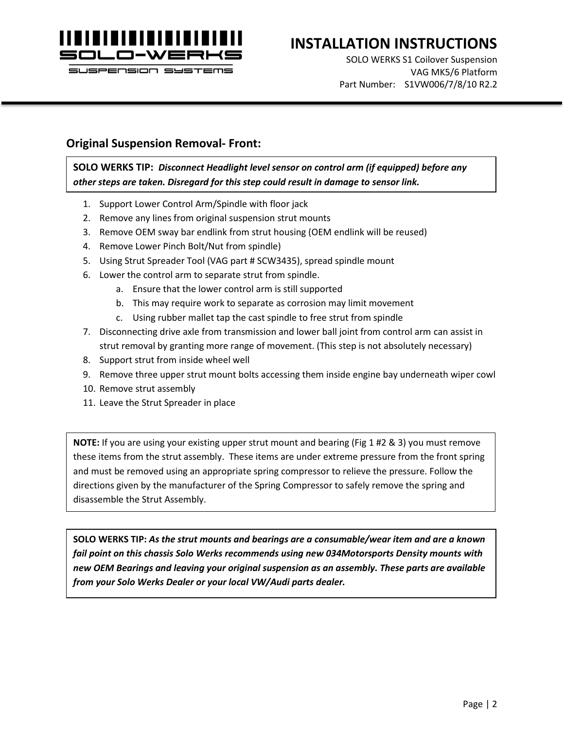

## **INSTALLATION INSTRUCTIONS**

SOLO WERKS S1 Coilover Suspension VAG MK5/6 Platform Part Number: S1VW006/7/8/10 R2.2

#### **Original Suspension Removal- Front:**

**SOLO WERKS TIP:** *Disconnect Headlight level sensor on control arm (if equipped) before any other steps are taken. Disregard for this step could result in damage to sensor link.*

- 1. Support Lower Control Arm/Spindle with floor jack
- 2. Remove any lines from original suspension strut mounts
- 3. Remove OEM sway bar endlink from strut housing (OEM endlink will be reused)
- 4. Remove Lower Pinch Bolt/Nut from spindle)
- 5. Using Strut Spreader Tool (VAG part # SCW3435), spread spindle mount
- 6. Lower the control arm to separate strut from spindle.
	- a. Ensure that the lower control arm is still supported
	- b. This may require work to separate as corrosion may limit movement
	- c. Using rubber mallet tap the cast spindle to free strut from spindle
- 7. Disconnecting drive axle from transmission and lower ball joint from control arm can assist in strut removal by granting more range of movement. (This step is not absolutely necessary)
- 8. Support strut from inside wheel well
- 9. Remove three upper strut mount bolts accessing them inside engine bay underneath wiper cowl
- 10. Remove strut assembly
- 11. Leave the Strut Spreader in place

**NOTE:** If you are using your existing upper strut mount and bearing (Fig 1 #2 & 3) you must remove these items from the strut assembly. These items are under extreme pressure from the front spring and must be removed using an appropriate spring compressor to relieve the pressure. Follow the directions given by the manufacturer of the Spring Compressor to safely remove the spring and disassemble the Strut Assembly.

**SOLO WERKS TIP:** *As the strut mounts and bearings are a consumable/wear item and are a known fail point on this chassis Solo Werks recommends using new 034Motorsports Density mounts with new OEM Bearings and leaving your original suspension as an assembly. These parts are available from your Solo Werks Dealer or your local VW/Audi parts dealer.*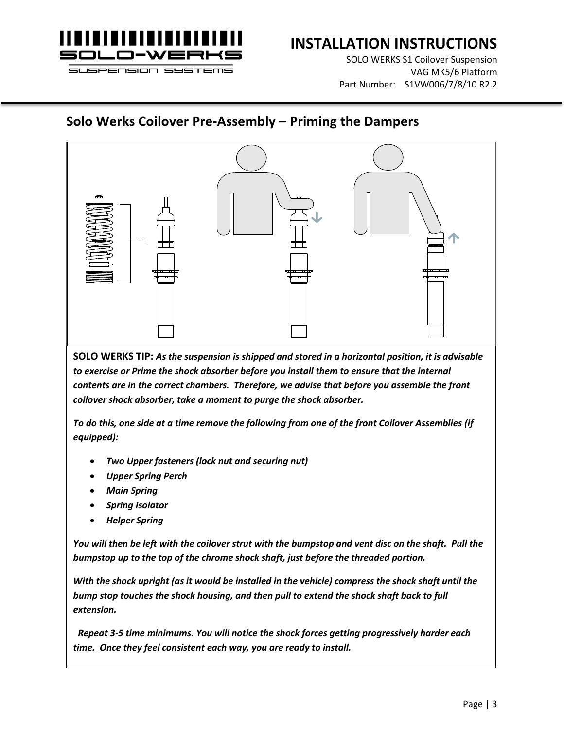

SOLO WERKS S1 Coilover Suspension VAG MK5/6 Platform Part Number: S1VW006/7/8/10 R2.2

### **Solo Werks Coilover Pre-Assembly – Priming the Dampers**



**SOLO WERKS TIP:** *As the suspension is shipped and stored in a horizontal position, it is advisable*  to exercise or Prime the shock absorber before you install them to ensure that the internal *contents are in the correct chambers. Therefore, we advise that before you assemble the front coilover shock absorber, take a moment to purge the shock absorber.* 

*To do this, one side at a time remove the following from one of the front Coilover Assemblies (if equipped):*

- *Two Upper fasteners (lock nut and securing nut)*
- *Upper Spring Perch*
- *Main Spring*
- *Spring Isolator*
- *Helper Spring*

*You will then be left with the coilover strut with the bumpstop and vent disc on the shaft. Pull the bumpstop up to the top of the chrome shock shaft, just before the threaded portion.* 

*With the shock upright (as it would be installed in the vehicle) compress the shock shaft until the bump stop touches the shock housing, and then pull to extend the shock shaft back to full extension.*

 *Repeat 3-5 time minimums. You will notice the shock forces getting progressively harder each time. Once they feel consistent each way, you are ready to install.*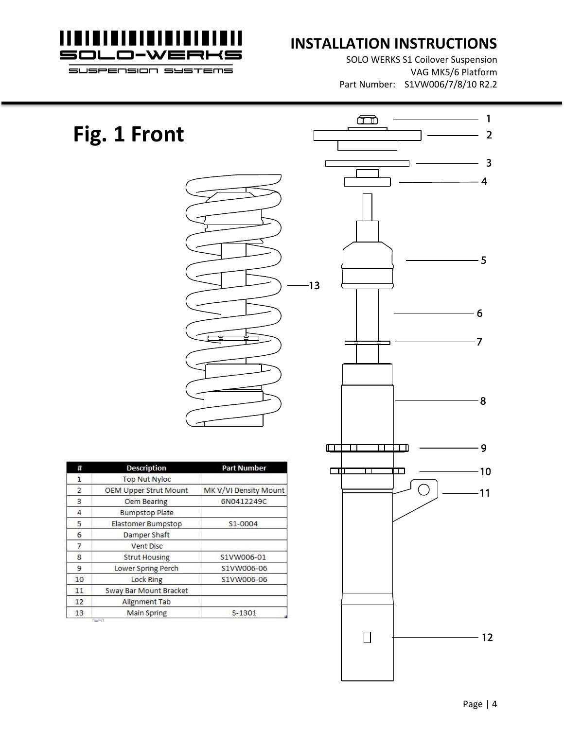

### **INSTALLATION INSTRUCTIONS**

 $\Box$ 

SOLO WERKS S1 Coilover Suspension VAG MK5/6 Platform Part Number: S1VW006/7/8/10 R2.2

 $-1$ 

 $\overline{\mathbf{2}}$ 

 $\overline{\mathbf{3}}$ 

4

 $-5$ 

 $6\overline{6}$ 

 $-7$ 

# **Fig. 1 Front**



| #              | <b>Description</b>           | <b>Part Number</b>    |  |  |
|----------------|------------------------------|-----------------------|--|--|
| 1              | <b>Top Nut Nyloc</b>         |                       |  |  |
| $\overline{2}$ | <b>OEM Upper Strut Mount</b> | MK V/VI Density Mount |  |  |
| 3              | Oem Bearing                  | 6N0412249C            |  |  |
| 4              | <b>Bumpstop Plate</b>        |                       |  |  |
| 5              | Elastomer Bumpstop           | S1-0004               |  |  |
| 6              | Damper Shaft                 |                       |  |  |
| 7              | Vent Disc                    |                       |  |  |
| 8              | <b>Strut Housing</b>         | S1VW006-01            |  |  |
| 9              | Lower Spring Perch           | S1VW006-06            |  |  |
| 10             | <b>Lock Ring</b>             | S1VW006-06            |  |  |
| 11             | Sway Bar Mount Bracket       |                       |  |  |
| 12             | Alignment Tab                |                       |  |  |
| 13             | Main Spring                  | $S-1301$              |  |  |

**Target** 

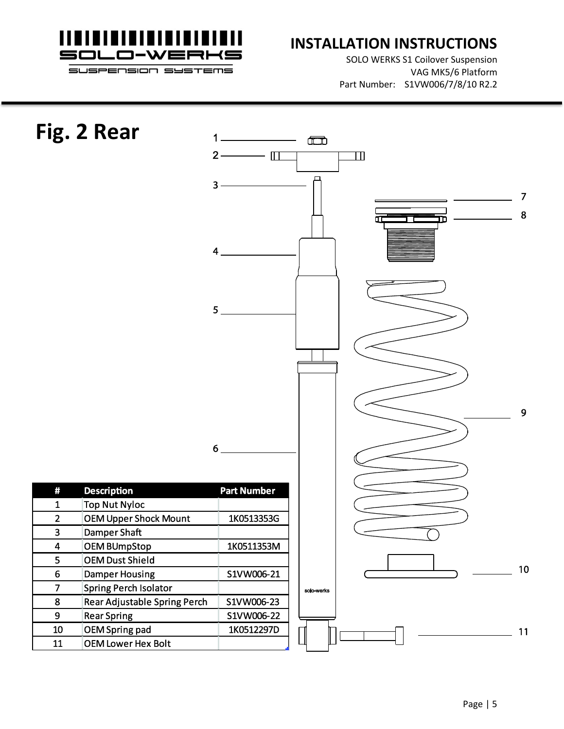

SOLO WERKS S1 Coilover Suspension VAG MK5/6 Platform Part Number: S1VW006/7/8/10 R2.2

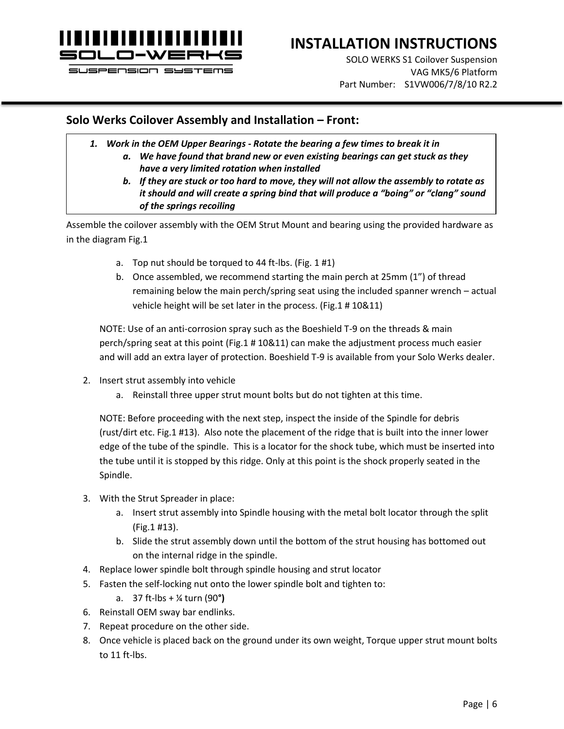

### **INSTALLATION INSTRUCTIONS**

SOLO WERKS S1 Coilover Suspension VAG MK5/6 Platform Part Number: S1VW006/7/8/10 R2.2

#### **Solo Werks Coilover Assembly and Installation – Front:**

- *1. Work in the OEM Upper Bearings - Rotate the bearing a few times to break it in*
	- *a. We have found that brand new or even existing bearings can get stuck as they have a very limited rotation when installed*
	- *b. If they are stuck or too hard to move, they will not allow the assembly to rotate as it should and will create a spring bind that will produce a "boing" or "clang" sound of the springs recoiling*

Assemble the coilover assembly with the OEM Strut Mount and bearing using the provided hardware as in the diagram Fig.1

- a. Top nut should be torqued to 44 ft-lbs. (Fig. 1 #1)
- b. Once assembled, we recommend starting the main perch at 25mm (1") of thread remaining below the main perch/spring seat using the included spanner wrench – actual vehicle height will be set later in the process. (Fig.1 # 10&11)

NOTE: Use of an anti-corrosion spray such as the Boeshield T-9 on the threads & main perch/spring seat at this point (Fig.1 # 10&11) can make the adjustment process much easier and will add an extra layer of protection. Boeshield T-9 is available from your Solo Werks dealer.

- 2. Insert strut assembly into vehicle
	- a. Reinstall three upper strut mount bolts but do not tighten at this time.

NOTE: Before proceeding with the next step, inspect the inside of the Spindle for debris (rust/dirt etc. Fig.1 #13). Also note the placement of the ridge that is built into the inner lower edge of the tube of the spindle. This is a locator for the shock tube, which must be inserted into the tube until it is stopped by this ridge. Only at this point is the shock properly seated in the Spindle.

- 3. With the Strut Spreader in place:
	- a. Insert strut assembly into Spindle housing with the metal bolt locator through the split (Fig.1 #13).
	- b. Slide the strut assembly down until the bottom of the strut housing has bottomed out on the internal ridge in the spindle.
- 4. Replace lower spindle bolt through spindle housing and strut locator
- 5. Fasten the self-locking nut onto the lower spindle bolt and tighten to:
	- a. 37 ft-lbs + ¼ turn (90**°)**
- 6. Reinstall OEM sway bar endlinks.
- 7. Repeat procedure on the other side.
- 8. Once vehicle is placed back on the ground under its own weight, Torque upper strut mount bolts to 11 ft-lbs.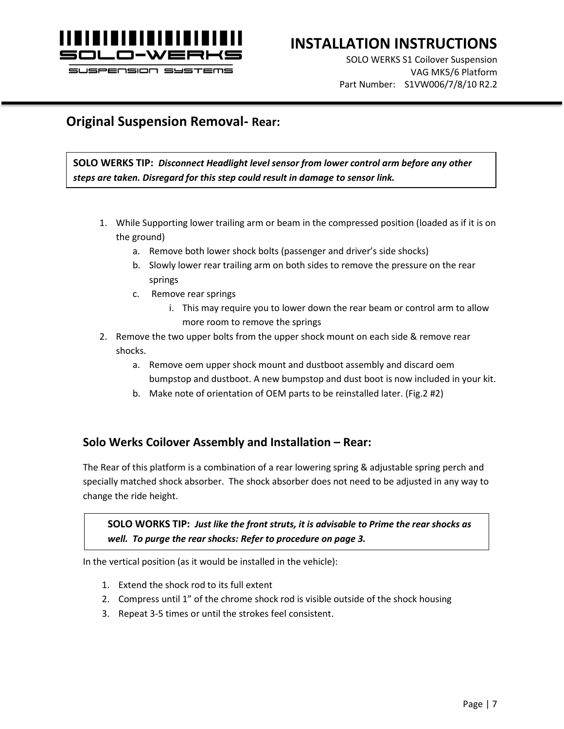

### **INSTALLATION INSTRUCTIONS**

SOLO WERKS S1 Coilover Suspension VAG MK5/6 Platform Part Number: S1VW006/7/8/10 R2.2

#### **Original Suspension Removal- Rear:**

**SOLO WERKS TIP:** *Disconnect Headlight level sensor from lower control arm before any other steps are taken. Disregard for this step could result in damage to sensor link.*

- 1. While Supporting lower trailing arm or beam in the compressed position (loaded as if it is on the ground)
	- a. Remove both lower shock bolts (passenger and driver's side shocks)
	- b. Slowly lower rear trailing arm on both sides to remove the pressure on the rear springs
	- c. Remove rear springs
		- i. This may require you to lower down the rear beam or control arm to allow more room to remove the springs
- 2. Remove the two upper bolts from the upper shock mount on each side & remove rear shocks.
	- a. Remove oem upper shock mount and dustboot assembly and discard oem bumpstop and dustboot. A new bumpstop and dust boot is now included in your kit.
	- b. Make note of orientation of OEM parts to be reinstalled later. (Fig.2 #2)

#### **Solo Werks Coilover Assembly and Installation – Rear:**

The Rear of this platform is a combination of a rear lowering spring & adjustable spring perch and specially matched shock absorber. The shock absorber does not need to be adjusted in any way to change the ride height.

#### **SOLO WORKS TIP:** *Just like the front struts, it is advisable to Prime the rear shocks as well. To purge the rear shocks: Refer to procedure on page 3.*

In the vertical position (as it would be installed in the vehicle):

- 1. Extend the shock rod to its full extent
- 2. Compress until 1" of the chrome shock rod is visible outside of the shock housing
- 3. Repeat 3-5 times or until the strokes feel consistent.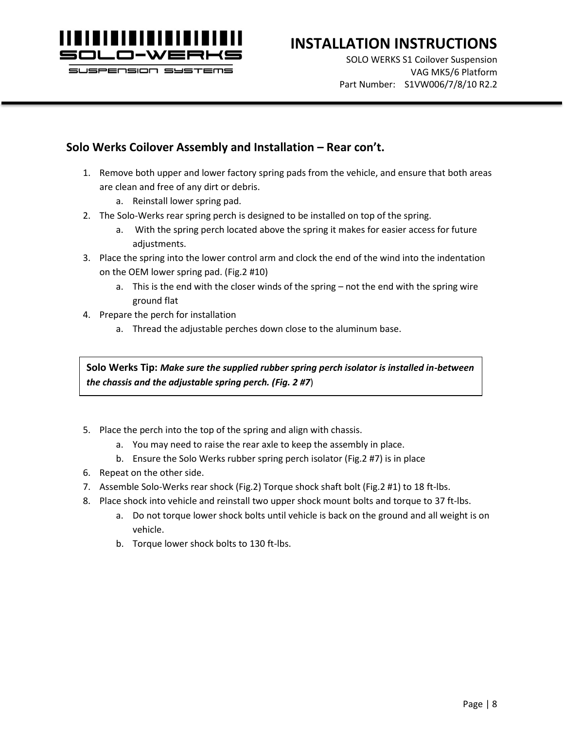

### **INSTALLATION INSTRUCTIONS**

SOLO WERKS S1 Coilover Suspension VAG MK5/6 Platform Part Number: S1VW006/7/8/10 R2.2

#### **Solo Werks Coilover Assembly and Installation – Rear con't.**

- 1. Remove both upper and lower factory spring pads from the vehicle, and ensure that both areas are clean and free of any dirt or debris.
	- a. Reinstall lower spring pad.
- 2. The Solo-Werks rear spring perch is designed to be installed on top of the spring.
	- a. With the spring perch located above the spring it makes for easier access for future adjustments.
- 3. Place the spring into the lower control arm and clock the end of the wind into the indentation on the OEM lower spring pad. (Fig.2 #10)
	- a. This is the end with the closer winds of the spring not the end with the spring wire ground flat
- 4. Prepare the perch for installation
	- a. Thread the adjustable perches down close to the aluminum base.

**Solo Werks Tip:** *Make sure the supplied rubber spring perch isolator is installed in-between the chassis and the adjustable spring perch. (Fig. 2 #7*)

- 5. Place the perch into the top of the spring and align with chassis.
	- a. You may need to raise the rear axle to keep the assembly in place.
	- b. Ensure the Solo Werks rubber spring perch isolator (Fig.2 #7) is in place
- 6. Repeat on the other side.
- 7. Assemble Solo-Werks rear shock (Fig.2) Torque shock shaft bolt (Fig.2 #1) to 18 ft-lbs.
- 8. Place shock into vehicle and reinstall two upper shock mount bolts and torque to 37 ft-lbs.
	- a. Do not torque lower shock bolts until vehicle is back on the ground and all weight is on vehicle.
	- b. Torque lower shock bolts to 130 ft-lbs.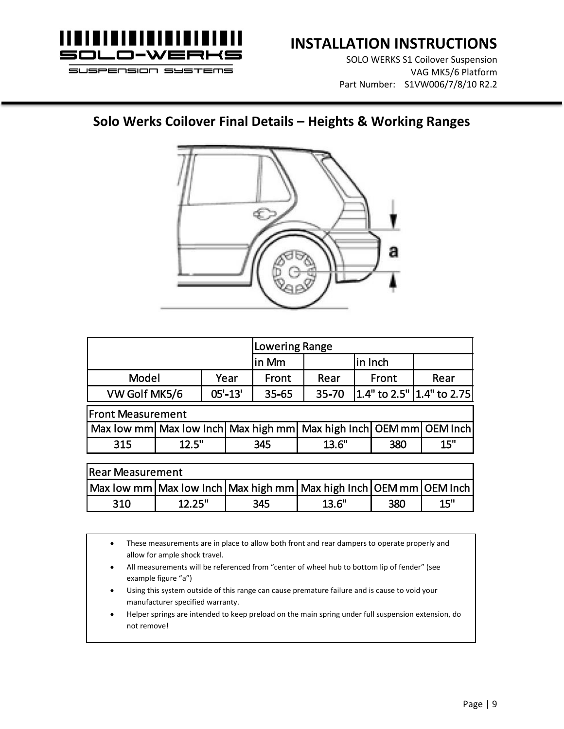

SOLO WERKS S1 Coilover Suspension VAG MK5/6 Platform Part Number: S1VW006/7/8/10 R2.2

#### **Solo Werks Coilover Final Details – Heights & Working Ranges**



|                                                                             |        |             | <b>Lowering Range</b> |        |         |                           |      |     |  |
|-----------------------------------------------------------------------------|--------|-------------|-----------------------|--------|---------|---------------------------|------|-----|--|
|                                                                             |        |             |                       | lin Mm | in Inch |                           |      |     |  |
| <b>Model</b>                                                                | Year   |             | Front                 | Rear   |         | Front                     | Rear |     |  |
| VW Golf MK5/6                                                               |        | $05' - 13'$ | $35 - 65$             | 35-70  |         | 1.4" to 2.5" 1.4" to 2.75 |      |     |  |
| <b>Front Measurement</b>                                                    |        |             |                       |        |         |                           |      |     |  |
| Max low mm Max low Inch Max high mm Max high Inch OEM mm OEM Inch           |        |             |                       |        |         |                           |      |     |  |
| 315                                                                         | 12.5"  |             | 345                   |        | 13.6"   |                           | 380  | 15" |  |
|                                                                             |        |             |                       |        |         |                           |      |     |  |
| <b>Rear Measurement</b>                                                     |        |             |                       |        |         |                           |      |     |  |
| Max low mm   Max low Inch   Max high mm   Max high Inch   OEM mm   OEM Inch |        |             |                       |        |         |                           |      |     |  |
| 310                                                                         | 12.25" |             |                       | 345    | 13.6"   |                           | 380  | 15" |  |

• These measurements are in place to allow both front and rear dampers to operate properly and allow for ample shock travel.

- All measurements will be referenced from "center of wheel hub to bottom lip of fender" (see example figure "a")
- Using this system outside of this range can cause premature failure and is cause to void your manufacturer specified warranty.
- Helper springs are intended to keep preload on the main spring under full suspension extension, do not remove!